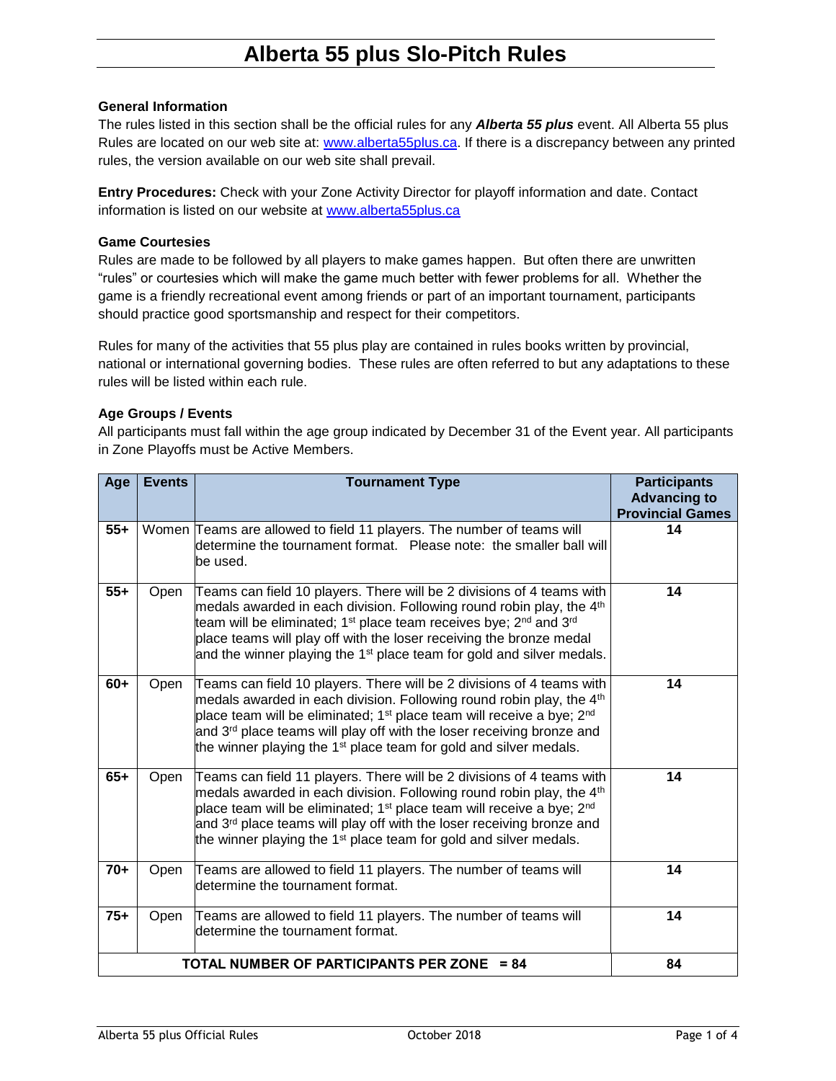### **General Information**

The rules listed in this section shall be the official rules for any *Alberta 55 plus* event. All Alberta 55 plus Rules are located on our web site at: [www.alberta55plus.ca.](http://www.alberta55plus.ca/) If there is a discrepancy between any printed rules, the version available on our web site shall prevail.

**Entry Procedures:** Check with your Zone Activity Director for playoff information and date. Contact information is listed on our website at [www.alberta55plus.ca](http://www.alberta55plus.ca/)

#### **Game Courtesies**

Rules are made to be followed by all players to make games happen. But often there are unwritten "rules" or courtesies which will make the game much better with fewer problems for all. Whether the game is a friendly recreational event among friends or part of an important tournament, participants should practice good sportsmanship and respect for their competitors.

Rules for many of the activities that 55 plus play are contained in rules books written by provincial, national or international governing bodies. These rules are often referred to but any adaptations to these rules will be listed within each rule.

#### **Age Groups / Events**

All participants must fall within the age group indicated by December 31 of the Event year. All participants in Zone Playoffs must be Active Members.

| Age                                        | <b>Events</b> | <b>Tournament Type</b>                                                                                                                                                                                                                                                                                                                                                                                                         | <b>Participants</b><br><b>Advancing to</b><br><b>Provincial Games</b> |
|--------------------------------------------|---------------|--------------------------------------------------------------------------------------------------------------------------------------------------------------------------------------------------------------------------------------------------------------------------------------------------------------------------------------------------------------------------------------------------------------------------------|-----------------------------------------------------------------------|
| $55+$                                      |               | Women Teams are allowed to field 11 players. The number of teams will<br>determine the tournament format.  Please note: the smaller ball will<br>be used.                                                                                                                                                                                                                                                                      | 14                                                                    |
| $55+$                                      | Open          | Teams can field 10 players. There will be 2 divisions of 4 teams with<br>medals awarded in each division. Following round robin play, the 4 <sup>th</sup><br>team will be eliminated; 1 <sup>st</sup> place team receives bye; 2 <sup>nd</sup> and 3 <sup>rd</sup><br>place teams will play off with the loser receiving the bronze medal<br>and the winner playing the 1 <sup>st</sup> place team for gold and silver medals. | 14                                                                    |
| $60+$                                      | Open          | Teams can field 10 players. There will be 2 divisions of 4 teams with<br>medals awarded in each division. Following round robin play, the 4 <sup>th</sup><br>place team will be eliminated; 1 <sup>st</sup> place team will receive a bye; 2 <sup>nd</sup><br>and 3 <sup>rd</sup> place teams will play off with the loser receiving bronze and<br>the winner playing the $1st$ place team for gold and silver medals.         | 14                                                                    |
| $65+$                                      | Open          | Teams can field 11 players. There will be 2 divisions of 4 teams with<br>medals awarded in each division. Following round robin play, the 4 <sup>th</sup><br>place team will be eliminated; 1 <sup>st</sup> place team will receive a bye; 2 <sup>nd</sup><br>and 3 <sup>rd</sup> place teams will play off with the loser receiving bronze and<br>the winner playing the $1st$ place team for gold and silver medals.         | 14                                                                    |
| $70+$                                      | Open          | Teams are allowed to field 11 players. The number of teams will<br>determine the tournament format.                                                                                                                                                                                                                                                                                                                            | 14                                                                    |
| $75+$                                      | Open          | Teams are allowed to field 11 players. The number of teams will<br>determine the tournament format.                                                                                                                                                                                                                                                                                                                            | 14                                                                    |
| TOTAL NUMBER OF PARTICIPANTS PER ZONE = 84 |               |                                                                                                                                                                                                                                                                                                                                                                                                                                | 84                                                                    |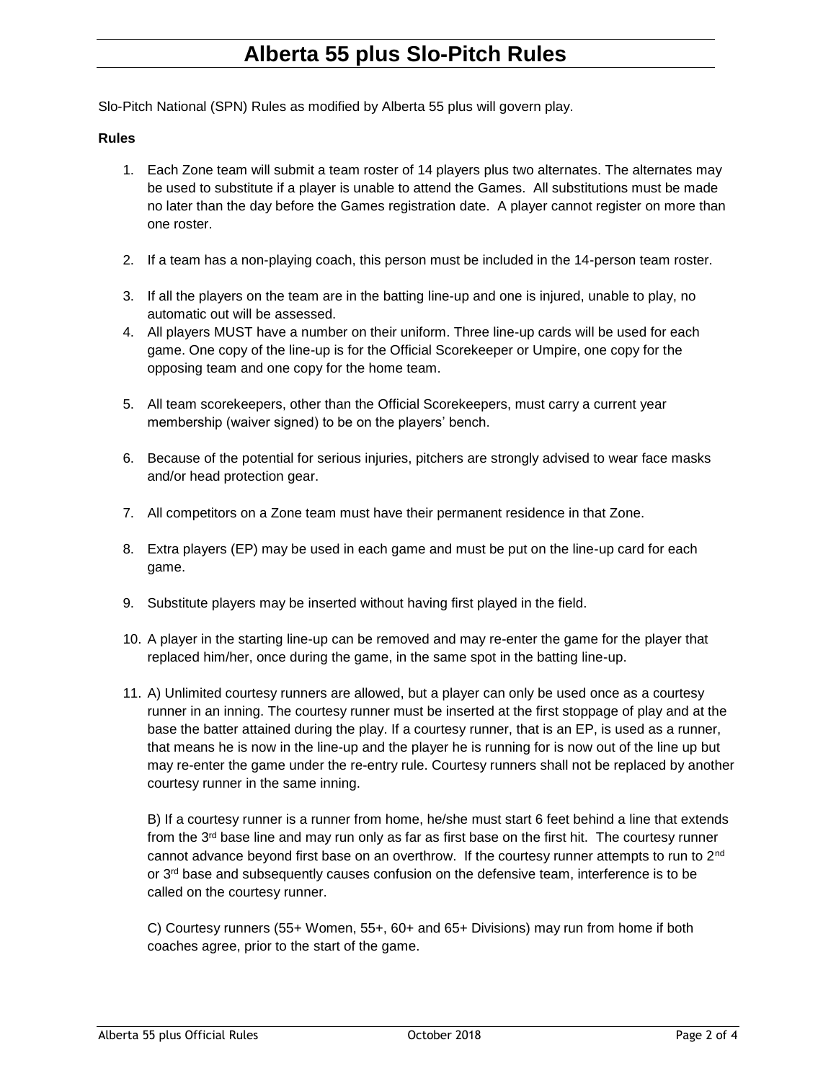Slo-Pitch National (SPN) Rules as modified by Alberta 55 plus will govern play.

#### **Rules**

- 1. Each Zone team will submit a team roster of 14 players plus two alternates. The alternates may be used to substitute if a player is unable to attend the Games. All substitutions must be made no later than the day before the Games registration date. A player cannot register on more than one roster.
- 2. If a team has a non-playing coach, this person must be included in the 14-person team roster.
- 3. If all the players on the team are in the batting line-up and one is injured, unable to play, no automatic out will be assessed.
- 4. All players MUST have a number on their uniform. Three line-up cards will be used for each game. One copy of the line-up is for the Official Scorekeeper or Umpire, one copy for the opposing team and one copy for the home team.
- 5. All team scorekeepers, other than the Official Scorekeepers, must carry a current year membership (waiver signed) to be on the players' bench.
- 6. Because of the potential for serious injuries, pitchers are strongly advised to wear face masks and/or head protection gear.
- 7. All competitors on a Zone team must have their permanent residence in that Zone.
- 8. Extra players (EP) may be used in each game and must be put on the line-up card for each game.
- 9. Substitute players may be inserted without having first played in the field.
- 10. A player in the starting line-up can be removed and may re-enter the game for the player that replaced him/her, once during the game, in the same spot in the batting line-up.
- 11. A) Unlimited courtesy runners are allowed, but a player can only be used once as a courtesy runner in an inning. The courtesy runner must be inserted at the first stoppage of play and at the base the batter attained during the play. If a courtesy runner, that is an EP, is used as a runner, that means he is now in the line-up and the player he is running for is now out of the line up but may re-enter the game under the re-entry rule. Courtesy runners shall not be replaced by another courtesy runner in the same inning.

B) If a courtesy runner is a runner from home, he/she must start 6 feet behind a line that extends from the  $3<sup>rd</sup>$  base line and may run only as far as first base on the first hit. The courtesy runner cannot advance beyond first base on an overthrow. If the courtesy runner attempts to run to 2<sup>nd</sup> or  $3<sup>rd</sup>$  base and subsequently causes confusion on the defensive team, interference is to be called on the courtesy runner.

C) Courtesy runners (55+ Women, 55+, 60+ and 65+ Divisions) may run from home if both coaches agree, prior to the start of the game.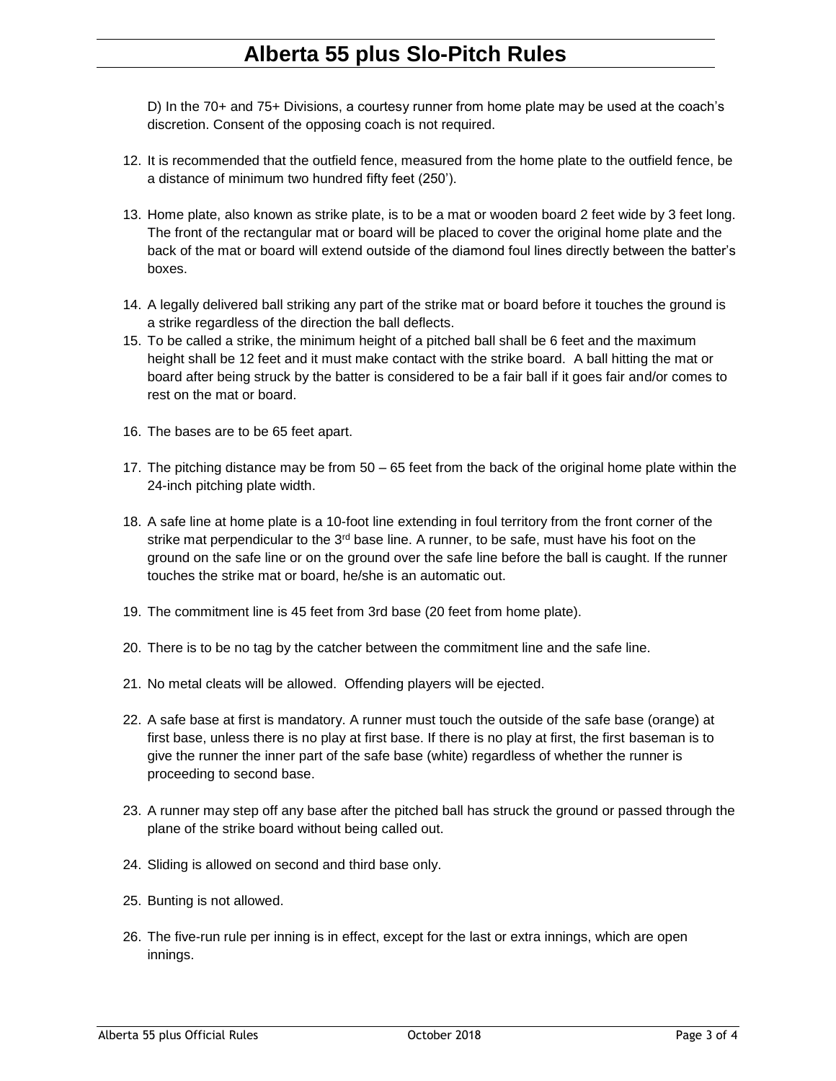D) In the 70+ and 75+ Divisions, a courtesy runner from home plate may be used at the coach's discretion. Consent of the opposing coach is not required.

- 12. It is recommended that the outfield fence, measured from the home plate to the outfield fence, be a distance of minimum two hundred fifty feet (250').
- 13. Home plate, also known as strike plate, is to be a mat or wooden board 2 feet wide by 3 feet long. The front of the rectangular mat or board will be placed to cover the original home plate and the back of the mat or board will extend outside of the diamond foul lines directly between the batter's boxes.
- 14. A legally delivered ball striking any part of the strike mat or board before it touches the ground is a strike regardless of the direction the ball deflects.
- 15. To be called a strike, the minimum height of a pitched ball shall be 6 feet and the maximum height shall be 12 feet and it must make contact with the strike board. A ball hitting the mat or board after being struck by the batter is considered to be a fair ball if it goes fair and/or comes to rest on the mat or board.
- 16. The bases are to be 65 feet apart.
- 17. The pitching distance may be from 50 65 feet from the back of the original home plate within the 24-inch pitching plate width.
- 18. A safe line at home plate is a 10-foot line extending in foul territory from the front corner of the strike mat perpendicular to the  $3<sup>rd</sup>$  base line. A runner, to be safe, must have his foot on the ground on the safe line or on the ground over the safe line before the ball is caught. If the runner touches the strike mat or board, he/she is an automatic out.
- 19. The commitment line is 45 feet from 3rd base (20 feet from home plate).
- 20. There is to be no tag by the catcher between the commitment line and the safe line.
- 21. No metal cleats will be allowed. Offending players will be ejected.
- 22. A safe base at first is mandatory. A runner must touch the outside of the safe base (orange) at first base, unless there is no play at first base. If there is no play at first, the first baseman is to give the runner the inner part of the safe base (white) regardless of whether the runner is proceeding to second base.
- 23. A runner may step off any base after the pitched ball has struck the ground or passed through the plane of the strike board without being called out.
- 24. Sliding is allowed on second and third base only.
- 25. Bunting is not allowed.
- 26. The five-run rule per inning is in effect, except for the last or extra innings, which are open innings.